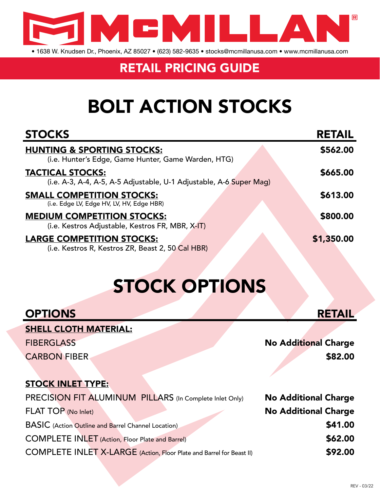

• 1638 W. Knudsen Dr., Phoenix, AZ 85027 • (623) 582-9635 • stocks@mcmillanusa.com • www.mcmillanusa.com

#### RETAIL PRICING GUIDE

## BOLT ACTION STOCKS

| <b>STOCKS</b>                                                                                  | <b>RETAIL</b> |
|------------------------------------------------------------------------------------------------|---------------|
| <b>HUNTING &amp; SPORTING STOCKS:</b><br>(i.e. Hunter's Edge, Game Hunter, Game Warden, HTG)   | \$562.00      |
| <b>TACTICAL STOCKS:</b><br>(i.e. A-3, A-4, A-5, A-5 Adjustable, U-1 Adjustable, A-6 Super Mag) | \$665.00      |
| <b>SMALL COMPETITION STOCKS:</b><br>(i.e. Edge LV, Edge HV, LV, HV, Edge HBR)                  | \$613.00      |
| <b>MEDIUM COMPETITION STOCKS:</b><br>(i.e. Kestros Adjustable, Kestros FR, MBR, X-IT)          | \$800.00      |
| <b>LARGE COMPETITION STOCKS:</b><br>(i.e. Kestros R, Kestros ZR, Beast 2, 50 Cal HBR)          | \$1,350.00    |

## STOCK OPTIONS

| <b>OPTIONS</b>                                                       | <b>RETAIL</b>               |
|----------------------------------------------------------------------|-----------------------------|
| <b>SHELL CLOTH MATERIAL:</b>                                         |                             |
| <b>FIBERGLASS</b>                                                    | <b>No Additional Charge</b> |
| <b>CARBON FIBER</b>                                                  | \$82.00                     |
|                                                                      |                             |
| <b>STOCK INLET TYPE:</b>                                             |                             |
| PRECISION FIT ALUMINUM PILLARS (In Complete Inlet Only)              | <b>No Additional Charge</b> |
| FLAT TOP (No Inlet)                                                  | <b>No Additional Charge</b> |
| <b>BASIC</b> (Action Outline and Barrel Channel Location)            | \$41.00                     |
| <b>COMPLETE INLET</b> (Action, Floor Plate and Barrel)               | \$62.00                     |
| COMPLETE INLET X-LARGE (Action, Floor Plate and Barrel for Beast II) | \$92.00                     |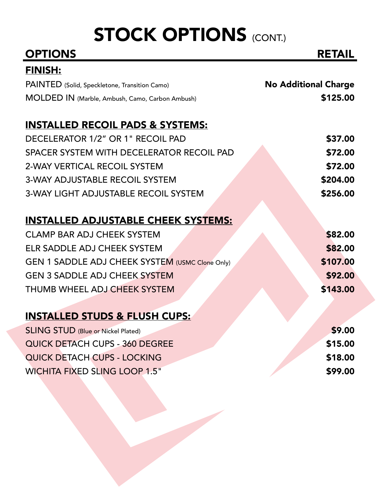# STOCK OPTIONS (CONT.)

| <b>OPTIONS</b>                                         | <b>RETAIL</b>               |
|--------------------------------------------------------|-----------------------------|
| <u>FINISH:</u>                                         |                             |
| PAINTED (Solid, Speckletone, Transition Camo)          | <b>No Additional Charge</b> |
| MOLDED IN (Marble, Ambush, Camo, Carbon Ambush)        | \$125.00                    |
| <b>INSTALLED RECOIL PADS &amp; SYSTEMS:</b>            |                             |
| DECELERATOR 1/2" OR 1" RECOIL PAD                      | \$37.00                     |
| SPACER SYSTEM WITH DECELERATOR RECOIL PAD              | \$72.00                     |
| 2-WAY VERTICAL RECOIL SYSTEM                           | \$72.00                     |
| <b>3-WAY ADJUSTABLE RECOIL SYSTEM</b>                  | \$204.00                    |
| <b>3-WAY LIGHT ADJUSTABLE RECOIL SYSTEM</b>            | \$256.00                    |
| <b>INSTALLED ADJUSTABLE CHEEK SYSTEMS:</b>             |                             |
| <b>CLAMP BAR ADJ CHEEK SYSTEM</b>                      | \$82.00                     |
| ELR SADDLE ADJ CHEEK SYSTEM                            | \$82.00                     |
| <b>GEN 1 SADDLE ADJ CHEEK SYSTEM (USMC Clone Only)</b> | \$107.00                    |
| <b>GEN 3 SADDLE ADJ CHEEK SYSTEM</b>                   | \$92.00                     |
| THUMB WHEEL ADJ CHEEK SYSTEM                           | \$143.00                    |
| <b>INSTALLED STUDS &amp; FLUSH CUPS:</b>               |                             |
| <b>SLING STUD (Blue or Nickel Plated)</b>              | \$9.00                      |
| QUICK DETACH CUPS - 360 DEGREE                         | \$15.00                     |
| QUICK DETACH CUPS - LOCKING                            | \$18.00                     |
| <b>WICHITA FIXED SLING LOOP 1.5"</b>                   | \$99.00                     |